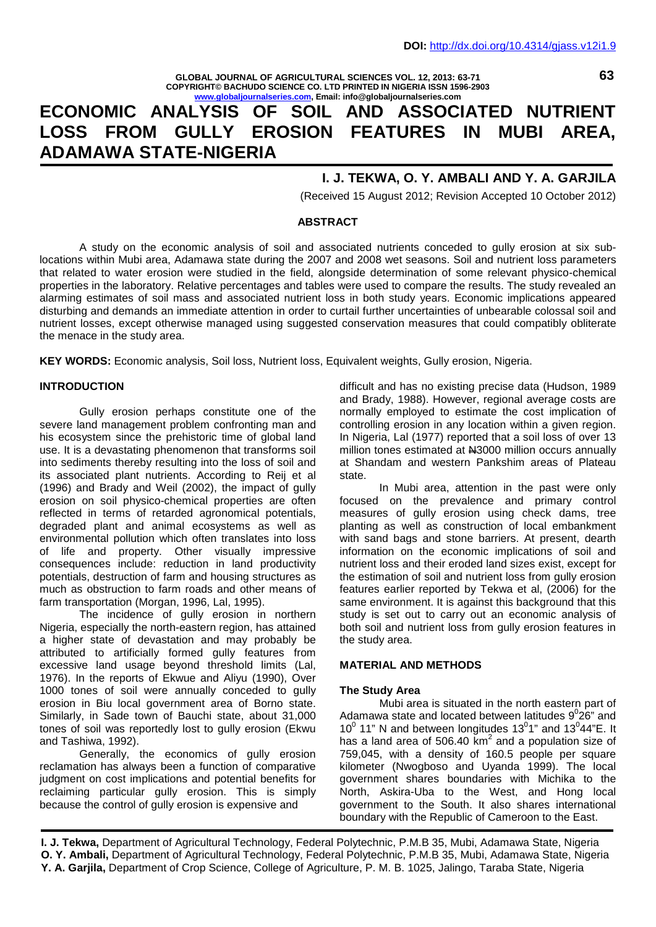**GLOBAL JOURNAL OF AGRICULTURAL SCIENCES VOL. 12, 2013: 63-71 COPYRIGHT© BACHUDO SCIENCE CO. LTD PRINTED IN NIGERIA ISSN 1596-2903 www.globaljournalseries.com, Email: info@globaljournalseries.com**

# **ECONOMIC ANALYSIS OF SOIL AND ASSOCIATED NUTRIENT LOSS FROM GULLY EROSION FEATURES IN MUBI AREA, ADAMAWA STATE-NIGERIA**

## **I. J. TEKWA, O. Y. AMBALI AND Y. A. GARJILA**

(Received 15 August 2012; Revision Accepted 10 October 2012)

#### **ABSTRACT**

A study on the economic analysis of soil and associated nutrients conceded to gully erosion at six sublocations within Mubi area, Adamawa state during the 2007 and 2008 wet seasons. Soil and nutrient loss parameters that related to water erosion were studied in the field, alongside determination of some relevant physico-chemical properties in the laboratory. Relative percentages and tables were used to compare the results. The study revealed an alarming estimates of soil mass and associated nutrient loss in both study years. Economic implications appeared disturbing and demands an immediate attention in order to curtail further uncertainties of unbearable colossal soil and nutrient losses, except otherwise managed using suggested conservation measures that could compatibly obliterate the menace in the study area.

**KEY WORDS:** Economic analysis, Soil loss, Nutrient loss, Equivalent weights, Gully erosion, Nigeria.

#### **INTRODUCTION**

Gully erosion perhaps constitute one of the severe land management problem confronting man and his ecosystem since the prehistoric time of global land use. It is a devastating phenomenon that transforms soil into sediments thereby resulting into the loss of soil and its associated plant nutrients. According to Reij et al (1996) and Brady and Weil (2002), the impact of gully erosion on soil physico-chemical properties are often reflected in terms of retarded agronomical potentials, degraded plant and animal ecosystems as well as environmental pollution which often translates into loss of life and property. Other visually impressive consequences include: reduction in land productivity potentials, destruction of farm and housing structures as much as obstruction to farm roads and other means of farm transportation (Morgan, 1996, Lal, 1995).

The incidence of gully erosion in northern Nigeria, especially the north-eastern region, has attained a higher state of devastation and may probably be attributed to artificially formed gully features from excessive land usage beyond threshold limits (Lal, 1976). In the reports of Ekwue and Aliyu (1990), Over 1000 tones of soil were annually conceded to gully erosion in Biu local government area of Borno state. Similarly, in Sade town of Bauchi state, about 31,000 tones of soil was reportedly lost to gully erosion (Ekwu and Tashiwa, 1992).

Generally, the economics of gully erosion reclamation has always been a function of comparative judgment on cost implications and potential benefits for reclaiming particular gully erosion. This is simply because the control of gully erosion is expensive and

difficult and has no existing precise data (Hudson, 1989 and Brady, 1988). However, regional average costs are normally employed to estimate the cost implication of controlling erosion in any location within a given region. In Nigeria, Lal (1977) reported that a soil loss of over 13 million tones estimated at N3000 million occurs annually at Shandam and western Pankshim areas of Plateau state.

In Mubi area, attention in the past were only focused on the prevalence and primary control measures of gully erosion using check dams, tree planting as well as construction of local embankment with sand bags and stone barriers. At present, dearth information on the economic implications of soil and nutrient loss and their eroded land sizes exist, except for the estimation of soil and nutrient loss from gully erosion features earlier reported by Tekwa et al, (2006) for the same environment. It is against this background that this study is set out to carry out an economic analysis of both soil and nutrient loss from gully erosion features in the study area.

#### **MATERIAL AND METHODS**

#### **The Study Area**

Mubi area is situated in the north eastern part of Adamawa state and located between latitudes  $9^026$ " and  $10^0$  11" N and between longitudes 13<sup>0</sup>1" and 13<sup>0</sup>44"E. It has a land area of  $506.40 \text{ km}^2$  and a population size of 759,045, with a density of 160.5 people per square kilometer (Nwogboso and Uyanda 1999). The local government shares boundaries with Michika to the North, Askira-Uba to the West, and Hong local government to the South. It also shares international boundary with the Republic of Cameroon to the East.

**I. J. Tekwa,** Department of Agricultural Technology, Federal Polytechnic, P.M.B 35, Mubi, Adamawa State, Nigeria **O. Y. Ambali,** Department of Agricultural Technology, Federal Polytechnic, P.M.B 35, Mubi, Adamawa State, Nigeria **Y. A. Garjila,** Department of Crop Science, College of Agriculture, P. M. B. 1025, Jalingo, Taraba State, Nigeria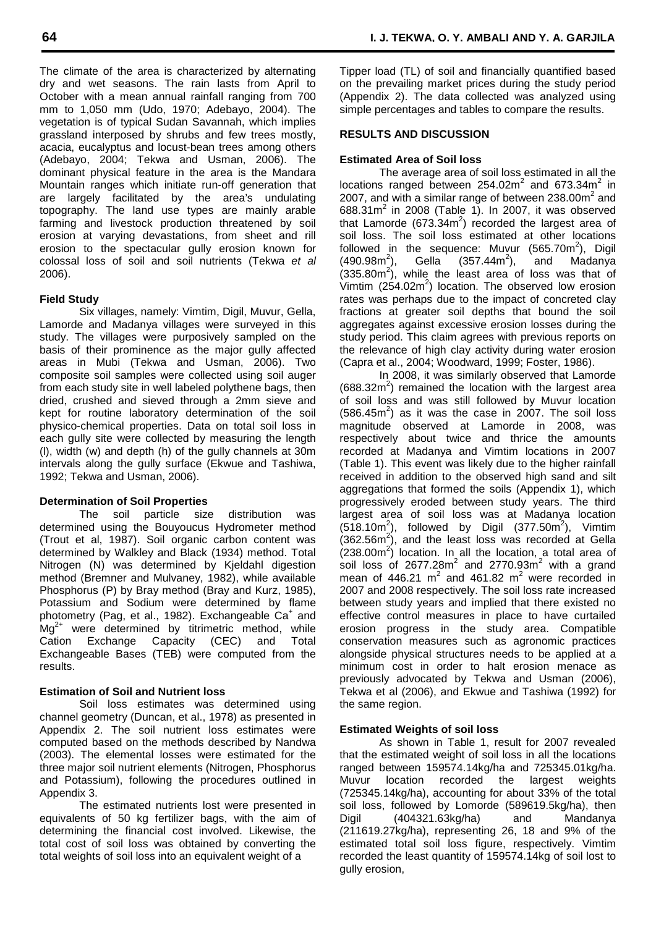The climate of the area is characterized by alternating dry and wet seasons. The rain lasts from April to October with a mean annual rainfall ranging from 700 mm to 1,050 mm (Udo, 1970; Adebayo, 2004). The vegetation is of typical Sudan Savannah, which implies grassland interposed by shrubs and few trees mostly, acacia, eucalyptus and locust-bean trees among others (Adebayo, 2004; Tekwa and Usman, 2006). The dominant physical feature in the area is the Mandara Mountain ranges which initiate run-off generation that are largely facilitated by the area's undulating topography. The land use types are mainly arable farming and livestock production threatened by soil erosion at varying devastations, from sheet and rill erosion to the spectacular gully erosion known for colossal loss of soil and soil nutrients (Tekwa *et al* 2006).

## **Field Study**

Six villages, namely: Vimtim, Digil, Muvur, Gella, Lamorde and Madanya villages were surveyed in this study. The villages were purposively sampled on the basis of their prominence as the major gully affected areas in Mubi (Tekwa and Usman, 2006). Two composite soil samples were collected using soil auger from each study site in well labeled polythene bags, then dried, crushed and sieved through a 2mm sieve and kept for routine laboratory determination of the soil physico-chemical properties. Data on total soil loss in each gully site were collected by measuring the length (l), width (w) and depth (h) of the gully channels at 30m intervals along the gully surface (Ekwue and Tashiwa, 1992; Tekwa and Usman, 2006).

## **Determination of Soil Properties**

The soil particle size distribution was determined using the Bouyoucus Hydrometer method (Trout et al, 1987). Soil organic carbon content was determined by Walkley and Black (1934) method. Total Nitrogen (N) was determined by Kjeldahl digestion method (Bremner and Mulvaney, 1982), while available Phosphorus (P) by Bray method (Bray and Kurz, 1985), Potassium and Sodium were determined by flame photometry (Pag, et al., 1982). Exchangeable Ca<sup>+</sup> and  $Mg^{2+}$  were determined by titrimetric method, while<br>Cation Exchange Capacity (CEC) and Total Cation Exchange Capacity (CEC) and Exchangeable Bases (TEB) were computed from the results.

## **Estimation of Soil and Nutrient loss**

Soil loss estimates was determined using channel geometry (Duncan, et al., 1978) as presented in Appendix 2. The soil nutrient loss estimates were computed based on the methods described by Nandwa (2003). The elemental losses were estimated for the three major soil nutrient elements (Nitrogen, Phosphorus and Potassium), following the procedures outlined in Appendix 3.

The estimated nutrients lost were presented in equivalents of 50 kg fertilizer bags, with the aim of determining the financial cost involved. Likewise, the total cost of soil loss was obtained by converting the total weights of soil loss into an equivalent weight of a

Tipper load (TL) of soil and financially quantified based on the prevailing market prices during the study period (Appendix 2). The data collected was analyzed using simple percentages and tables to compare the results.

### **RESULTS AND DISCUSSION**

## **Estimated Area of Soil loss**

The average area of soil loss estimated in all the locations ranged between  $254.02m^2$  and  $673.34m^2$  in 2007, and with a similar range of between  $238.00m^2$  and 688.31 $m^2$  in 2008 (Table 1). In 2007, it was observed that Lamorde (673.34m<sup>2</sup>) recorded the largest area of soil loss. The soil loss estimated at other locations followed in the sequence: Muvur (565.70m<sup>2</sup>), Digil  $(490.98m^2)$ , Gella  $(357.44m^2)$ , and Madanya  $(335.80m^2)$ , while the least area of loss was that of Vimtim  $(254.02m^2)$  location. The observed low erosion rates was perhaps due to the impact of concreted clay fractions at greater soil depths that bound the soil aggregates against excessive erosion losses during the study period. This claim agrees with previous reports on the relevance of high clay activity during water erosion (Capra et al., 2004; Woodward, 1999; Foster, 1986).

In 2008, it was similarly observed that Lamorde  $(688.32m<sup>2</sup>)$  remained the location with the largest area of soil loss and was still followed by Muvur location  $(586.45m^2)$  as it was the case in 2007. The soil loss magnitude observed at Lamorde in 2008, was respectively about twice and thrice the amounts recorded at Madanya and Vimtim locations in 2007 (Table 1). This event was likely due to the higher rainfall received in addition to the observed high sand and silt aggregations that formed the soils (Appendix 1), which progressively eroded between study years. The third largest area of soil loss was at Madanya location  $(518.10m^2)$ , followed by Digil  $(377.50m^2)$ , Vimtim  $(362.56m^2)$ , and the least loss was recorded at Gella  $(238.00\text{m}^2)$  location. In all the location, a total area of soil loss of  $2677.28m^2$  and  $2770.93m^2$  with a grand mean of 446.21  $m^2$  and 461.82  $m^2$  were recorded in 2007 and 2008 respectively. The soil loss rate increased between study years and implied that there existed no effective control measures in place to have curtailed erosion progress in the study area. Compatible conservation measures such as agronomic practices alongside physical structures needs to be applied at a minimum cost in order to halt erosion menace as previously advocated by Tekwa and Usman (2006), Tekwa et al (2006), and Ekwue and Tashiwa (1992) for the same region.

## **Estimated Weights of soil loss**

As shown in Table 1, result for 2007 revealed that the estimated weight of soil loss in all the locations ranged between 159574.14kg/ha and 725345.01kg/ha. location recorded the largest weights (725345.14kg/ha), accounting for about 33% of the total soil loss, followed by Lomorde (589619.5kg/ha), then Digil (404321.63kg/ha) and Mandanya (211619.27kg/ha), representing 26, 18 and 9% of the estimated total soil loss figure, respectively. Vimtim recorded the least quantity of 159574.14kg of soil lost to gully erosion,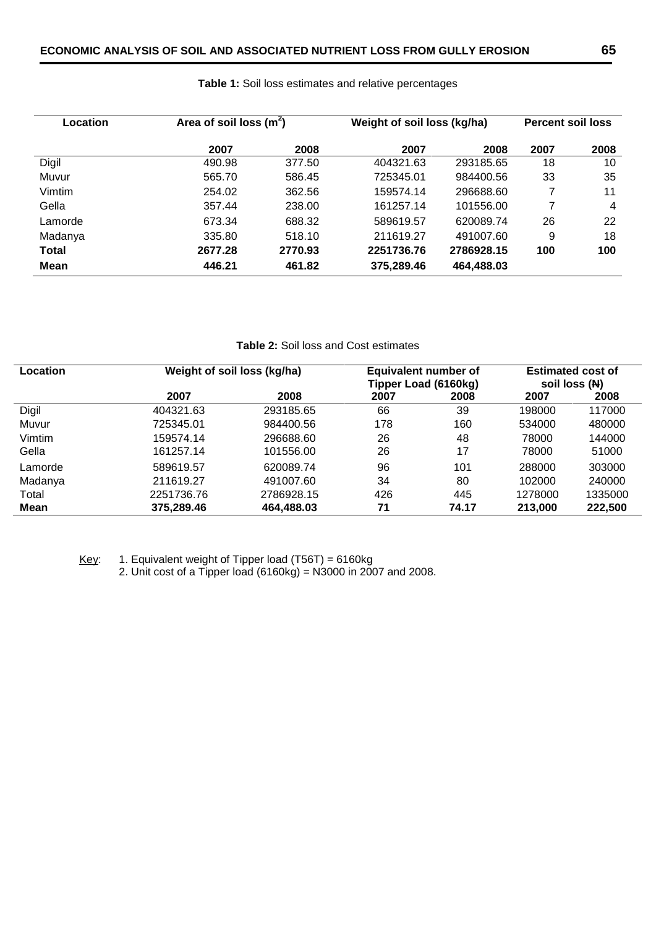| Location     | Area of soil loss $(m2)$ |         | Weight of soil loss (kg/ha) | <b>Percent soil loss</b> |      |      |
|--------------|--------------------------|---------|-----------------------------|--------------------------|------|------|
|              | 2007                     | 2008    | 2007                        | 2008                     | 2007 | 2008 |
| Digil        | 490.98                   | 377.50  | 404321.63                   | 293185.65                | 18   | 10   |
| Muvur        | 565.70                   | 586.45  | 725345.01                   | 984400.56                | 33   | 35   |
| Vimtim       | 254.02                   | 362.56  | 159574.14                   | 296688.60                | 7    | 11   |
| Gella        | 357.44                   | 238.00  | 161257.14                   | 101556.00                | 7    | 4    |
| Lamorde      | 673.34                   | 688.32  | 589619.57                   | 620089.74                | 26   | 22   |
| Madanya      | 335.80                   | 518.10  | 211619.27                   | 491007.60                | 9    | 18   |
| <b>Total</b> | 2677.28                  | 2770.93 | 2251736.76                  | 2786928.15               | 100  | 100  |
| Mean         | 446.21                   | 461.82  | 375,289.46                  | 464,488.03               |      |      |

## **Table 1:** Soil loss estimates and relative percentages

**Table 2:** Soil loss and Cost estimates

| <b>Location</b> | Weight of soil loss (kg/ha) |            |      | Equivalent number of<br>Tipper Load (6160kg) | <b>Estimated cost of</b><br>soil loss (N) |         |  |
|-----------------|-----------------------------|------------|------|----------------------------------------------|-------------------------------------------|---------|--|
|                 | 2007                        | 2008       | 2007 | 2008                                         | 2007                                      | 2008    |  |
| Digil           | 404321.63                   | 293185.65  | 66   | 39                                           | 198000                                    | 117000  |  |
| Muvur           | 725345.01                   | 984400.56  | 178  | 160                                          | 534000                                    | 480000  |  |
| Vimtim          | 159574.14                   | 296688.60  | 26   | 48                                           | 78000                                     | 144000  |  |
| Gella           | 161257.14                   | 101556.00  | 26   | 17                                           | 78000                                     | 51000   |  |
| Lamorde         | 589619.57                   | 620089.74  | 96   | 101                                          | 288000                                    | 303000  |  |
| Madanya         | 211619.27                   | 491007.60  | 34   | 80                                           | 102000                                    | 240000  |  |
| Total           | 2251736.76                  | 2786928.15 | 426  | 445                                          | 1278000                                   | 1335000 |  |
| Mean            | 375,289.46                  | 464,488.03 | 71   | 74.17                                        | 213,000                                   | 222,500 |  |

Key: 1. Equivalent weight of Tipper load  $(T56T) = 6160kg$ 

2. Unit cost of a Tipper load (6160kg) = N3000 in 2007 and 2008.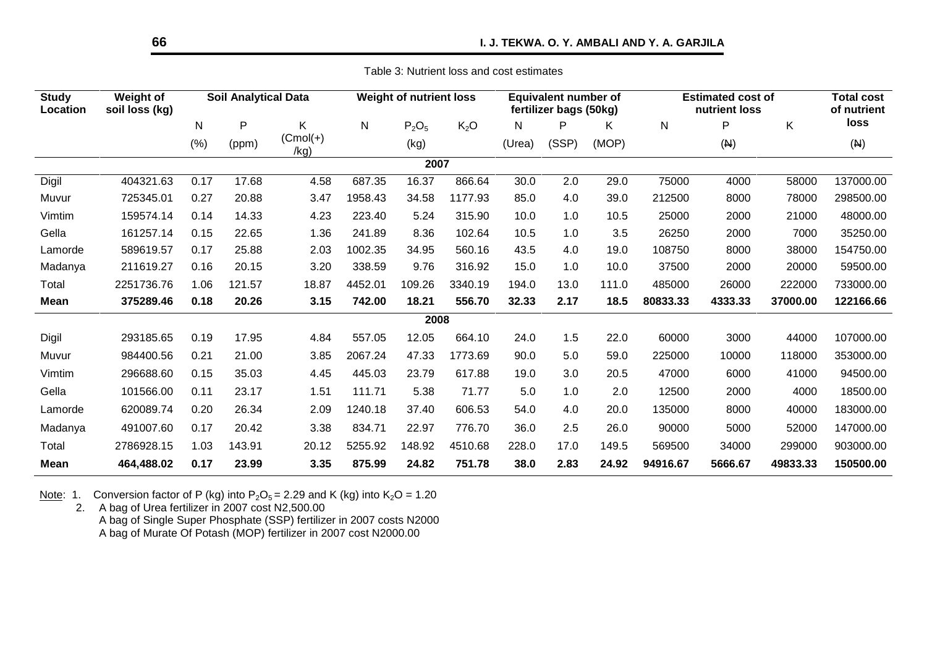Table 3: Nutrient loss and cost estimates

| <b>Study</b><br>Location | Weight of<br>soil loss (kg) |      | <b>Soil Analytical Data</b> |                     |         | <b>Weight of nutrient loss</b> |                  |        | <b>Equivalent number of</b><br>fertilizer bags (50kg) |       |          | <b>Estimated cost of</b><br>nutrient loss |          | <b>Total cost</b><br>of nutrient |
|--------------------------|-----------------------------|------|-----------------------------|---------------------|---------|--------------------------------|------------------|--------|-------------------------------------------------------|-------|----------|-------------------------------------------|----------|----------------------------------|
|                          |                             | N    | P                           | Κ                   | N       | $P_2O_5$                       | K <sub>2</sub> O | N      | P                                                     | K     | N        | P                                         | K.       | loss                             |
|                          |                             | (% ) | (ppm)                       | $(Cmol(+))$<br>/kg) |         | (kg)                           |                  | (Urea) | (SSP)                                                 | (MOP) |          | (A)                                       |          | (A)                              |
|                          |                             |      |                             |                     |         | 2007                           |                  |        |                                                       |       |          |                                           |          |                                  |
| Digil                    | 404321.63                   | 0.17 | 17.68                       | 4.58                | 687.35  | 16.37                          | 866.64           | 30.0   | 2.0                                                   | 29.0  | 75000    | 4000                                      | 58000    | 137000.00                        |
| Muvur                    | 725345.01                   | 0.27 | 20.88                       | 3.47                | 1958.43 | 34.58                          | 1177.93          | 85.0   | 4.0                                                   | 39.0  | 212500   | 8000                                      | 78000    | 298500.00                        |
| Vimtim                   | 159574.14                   | 0.14 | 14.33                       | 4.23                | 223.40  | 5.24                           | 315.90           | 10.0   | 1.0                                                   | 10.5  | 25000    | 2000                                      | 21000    | 48000.00                         |
| Gella                    | 161257.14                   | 0.15 | 22.65                       | 1.36                | 241.89  | 8.36                           | 102.64           | 10.5   | 1.0                                                   | 3.5   | 26250    | 2000                                      | 7000     | 35250.00                         |
| Lamorde                  | 589619.57                   | 0.17 | 25.88                       | 2.03                | 1002.35 | 34.95                          | 560.16           | 43.5   | 4.0                                                   | 19.0  | 108750   | 8000                                      | 38000    | 154750.00                        |
| Madanya                  | 211619.27                   | 0.16 | 20.15                       | 3.20                | 338.59  | 9.76                           | 316.92           | 15.0   | 1.0                                                   | 10.0  | 37500    | 2000                                      | 20000    | 59500.00                         |
| Total                    | 2251736.76                  | 1.06 | 121.57                      | 18.87               | 4452.01 | 109.26                         | 3340.19          | 194.0  | 13.0                                                  | 111.0 | 485000   | 26000                                     | 222000   | 733000.00                        |
| <b>Mean</b>              | 375289.46                   | 0.18 | 20.26                       | 3.15                | 742.00  | 18.21                          | 556.70           | 32.33  | 2.17                                                  | 18.5  | 80833.33 | 4333.33                                   | 37000.00 | 122166.66                        |
|                          |                             |      |                             |                     |         | 2008                           |                  |        |                                                       |       |          |                                           |          |                                  |
| Digil                    | 293185.65                   | 0.19 | 17.95                       | 4.84                | 557.05  | 12.05                          | 664.10           | 24.0   | 1.5                                                   | 22.0  | 60000    | 3000                                      | 44000    | 107000.00                        |
| Muvur                    | 984400.56                   | 0.21 | 21.00                       | 3.85                | 2067.24 | 47.33                          | 1773.69          | 90.0   | 5.0                                                   | 59.0  | 225000   | 10000                                     | 118000   | 353000.00                        |
| Vimtim                   | 296688.60                   | 0.15 | 35.03                       | 4.45                | 445.03  | 23.79                          | 617.88           | 19.0   | 3.0                                                   | 20.5  | 47000    | 6000                                      | 41000    | 94500.00                         |
| Gella                    | 101566.00                   | 0.11 | 23.17                       | 1.51                | 111.71  | 5.38                           | 71.77            | 5.0    | 1.0                                                   | 2.0   | 12500    | 2000                                      | 4000     | 18500.00                         |
| Lamorde                  | 620089.74                   | 0.20 | 26.34                       | 2.09                | 1240.18 | 37.40                          | 606.53           | 54.0   | 4.0                                                   | 20.0  | 135000   | 8000                                      | 40000    | 183000.00                        |
| Madanya                  | 491007.60                   | 0.17 | 20.42                       | 3.38                | 834.71  | 22.97                          | 776.70           | 36.0   | 2.5                                                   | 26.0  | 90000    | 5000                                      | 52000    | 147000.00                        |
| Total                    | 2786928.15                  | 1.03 | 143.91                      | 20.12               | 5255.92 | 148.92                         | 4510.68          | 228.0  | 17.0                                                  | 149.5 | 569500   | 34000                                     | 299000   | 903000.00                        |
| <b>Mean</b>              | 464,488.02                  | 0.17 | 23.99                       | 3.35                | 875.99  | 24.82                          | 751.78           | 38.0   | 2.83                                                  | 24.92 | 94916.67 | 5666.67                                   | 49833.33 | 150500.00                        |

<u>Note</u>: 1. Conversion factor of P (kg) into P<sub>2</sub>O<sub>5</sub> = 2.29 and K (kg) into K<sub>2</sub>O = 1.20

2. A bag of Urea fertilizer in 2007 cost N2,500.00 A bag of Single Super Phosphate (SSP) fertilizer in 2007 costs N2000 A bag of Murate Of Potash (MOP) fertilizer in 2007 cost N2000.00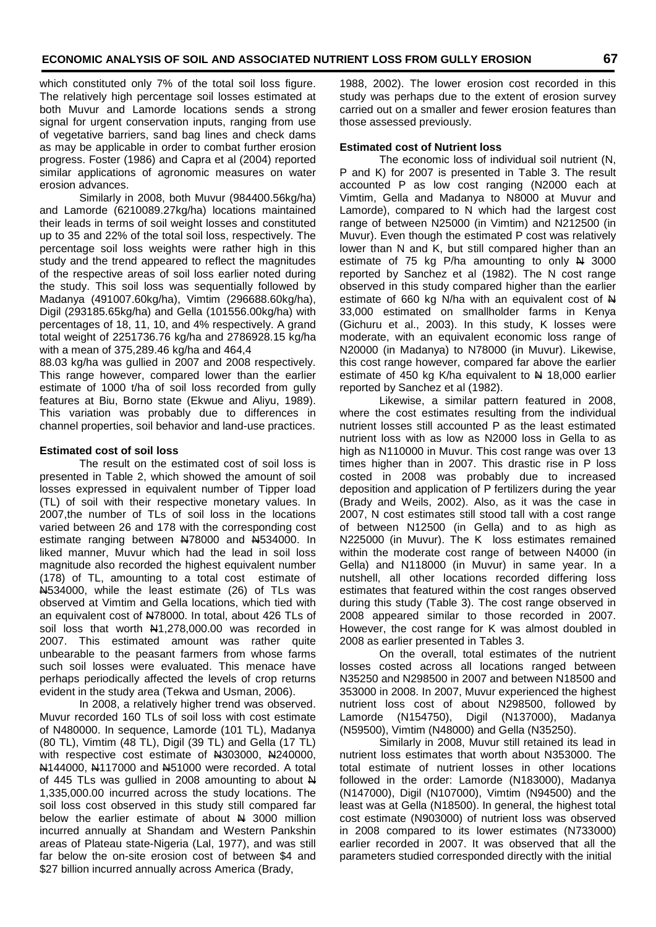which constituted only 7% of the total soil loss figure. The relatively high percentage soil losses estimated at both Muvur and Lamorde locations sends a strong signal for urgent conservation inputs, ranging from use of vegetative barriers, sand bag lines and check dams as may be applicable in order to combat further erosion progress. Foster (1986) and Capra et al (2004) reported similar applications of agronomic measures on water erosion advances.

Similarly in 2008, both Muvur (984400.56kg/ha) and Lamorde (6210089.27kg/ha) locations maintained their leads in terms of soil weight losses and constituted up to 35 and 22% of the total soil loss, respectively. The percentage soil loss weights were rather high in this study and the trend appeared to reflect the magnitudes of the respective areas of soil loss earlier noted during the study. This soil loss was sequentially followed by Madanya (491007.60kg/ha), Vimtim (296688.60kg/ha), Digil (293185.65kg/ha) and Gella (101556.00kg/ha) with percentages of 18, 11, 10, and 4% respectively. A grand total weight of 2251736.76 kg/ha and 2786928.15 kg/ha with a mean of 375,289.46 kg/ha and 464,4

88.03 kg/ha was gullied in 2007 and 2008 respectively. This range however, compared lower than the earlier estimate of 1000 t/ha of soil loss recorded from gully features at Biu, Borno state (Ekwue and Aliyu, 1989). This variation was probably due to differences in channel properties, soil behavior and land-use practices.

#### **Estimated cost of soil loss**

The result on the estimated cost of soil loss is presented in Table 2, which showed the amount of soil losses expressed in equivalent number of Tipper load (TL) of soil with their respective monetary values. In 2007,the number of TLs of soil loss in the locations varied between 26 and 178 with the corresponding cost estimate ranging between N78000 and N534000. In liked manner, Muvur which had the lead in soil loss magnitude also recorded the highest equivalent number (178) of TL, amounting to a total cost estimate of N534000, while the least estimate (26) of TLs was observed at Vimtim and Gella locations, which tied with an equivalent cost of N78000. In total, about 426 TLs of soil loss that worth N41,278,000.00 was recorded in 2007. This estimated amount was rather quite unbearable to the peasant farmers from whose farms such soil losses were evaluated. This menace have perhaps periodically affected the levels of crop returns evident in the study area (Tekwa and Usman, 2006).

In 2008, a relatively higher trend was observed. Muvur recorded 160 TLs of soil loss with cost estimate of N480000. In sequence, Lamorde (101 TL), Madanya (80 TL), Vimtim (48 TL), Digil (39 TL) and Gella (17 TL) with respective cost estimate of N303000, N240000, N144000, N117000 and N51000 were recorded. A total of 445 TLs was gullied in 2008 amounting to about N 1,335,000.00 incurred across the study locations. The soil loss cost observed in this study still compared far below the earlier estimate of about  $N = 3000$  million incurred annually at Shandam and Western Pankshin areas of Plateau state-Nigeria (Lal, 1977), and was still far below the on-site erosion cost of between \$4 and \$27 billion incurred annually across America (Brady,

1988, 2002). The lower erosion cost recorded in this study was perhaps due to the extent of erosion survey carried out on a smaller and fewer erosion features than those assessed previously.

#### **Estimated cost of Nutrient loss**

The economic loss of individual soil nutrient (N, P and K) for 2007 is presented in Table 3. The result accounted P as low cost ranging (N2000 each at Vimtim, Gella and Madanya to N8000 at Muvur and Lamorde), compared to N which had the largest cost range of between N25000 (in Vimtim) and N212500 (in Muvur). Even though the estimated P cost was relatively lower than N and K, but still compared higher than an estimate of 75 kg P/ha amounting to only  $N = 3000$ reported by Sanchez et al (1982). The N cost range observed in this study compared higher than the earlier estimate of 660 kg N/ha with an equivalent cost of  $\mathbb N$ 33,000 estimated on smallholder farms in Kenya (Gichuru et al., 2003). In this study, K losses were moderate, with an equivalent economic loss range of N20000 (in Madanya) to N78000 (in Muvur). Likewise, this cost range however, compared far above the earlier estimate of 450 kg K/ha equivalent to  $\overline{A}$  18,000 earlier reported by Sanchez et al (1982).

Likewise, a similar pattern featured in 2008, where the cost estimates resulting from the individual nutrient losses still accounted P as the least estimated nutrient loss with as low as N2000 loss in Gella to as high as N110000 in Muvur. This cost range was over 13 times higher than in 2007. This drastic rise in P loss costed in 2008 was probably due to increased deposition and application of P fertilizers during the year (Brady and Weils, 2002). Also, as it was the case in 2007, N cost estimates still stood tall with a cost range of between N12500 (in Gella) and to as high as N225000 (in Muvur). The K loss estimates remained within the moderate cost range of between N4000 (in Gella) and N118000 (in Muvur) in same year. In a nutshell, all other locations recorded differing loss estimates that featured within the cost ranges observed during this study (Table 3). The cost range observed in 2008 appeared similar to those recorded in 2007. However, the cost range for K was almost doubled in 2008 as earlier presented in Tables 3.

On the overall, total estimates of the nutrient losses costed across all locations ranged between N35250 and N298500 in 2007 and between N18500 and 353000 in 2008. In 2007, Muvur experienced the highest nutrient loss cost of about N298500, followed by Lamorde (N154750), Digil (N137000), Madanya (N59500), Vimtim (N48000) and Gella (N35250).

Similarly in 2008, Muvur still retained its lead in nutrient loss estimates that worth about N353000. The total estimate of nutrient losses in other locations followed in the order: Lamorde (N183000), Madanya (N147000), Digil (N107000), Vimtim (N94500) and the least was at Gella (N18500). In general, the highest total cost estimate (N903000) of nutrient loss was observed in 2008 compared to its lower estimates (N733000) earlier recorded in 2007. It was observed that all the parameters studied corresponded directly with the initial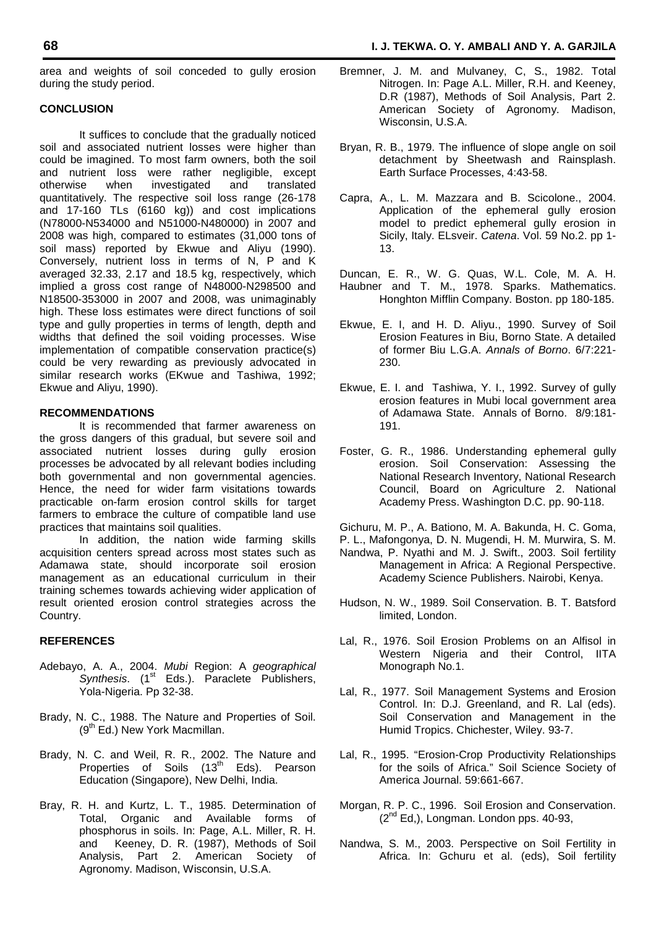area and weights of soil conceded to gully erosion during the study period.

#### **CONCLUSION**

It suffices to conclude that the gradually noticed soil and associated nutrient losses were higher than could be imagined. To most farm owners, both the soil and nutrient loss were rather negligible, except<br>otherwise when investigated and translated investigated quantitatively. The respective soil loss range (26-178 and 17-160 TLs (6160 kg)) and cost implications (N78000-N534000 and N51000-N480000) in 2007 and 2008 was high, compared to estimates (31,000 tons of soil mass) reported by Ekwue and Aliyu (1990). Conversely, nutrient loss in terms of N, P and K averaged 32.33, 2.17 and 18.5 kg, respectively, which implied a gross cost range of N48000-N298500 and N18500-353000 in 2007 and 2008, was unimaginably high. These loss estimates were direct functions of soil type and gully properties in terms of length, depth and widths that defined the soil voiding processes. Wise implementation of compatible conservation practice(s) could be very rewarding as previously advocated in similar research works (EKwue and Tashiwa, 1992; Ekwue and Aliyu, 1990).

#### **RECOMMENDATIONS**

It is recommended that farmer awareness on the gross dangers of this gradual, but severe soil and associated nutrient losses during gully erosion processes be advocated by all relevant bodies including both governmental and non governmental agencies. Hence, the need for wider farm visitations towards practicable on-farm erosion control skills for target farmers to embrace the culture of compatible land use practices that maintains soil qualities.

In addition, the nation wide farming skills acquisition centers spread across most states such as Adamawa state, should incorporate soil erosion management as an educational curriculum in their training schemes towards achieving wider application of result oriented erosion control strategies across the Country.

#### **REFERENCES**

- Adebayo, A. A., 2004. *Mubi* Region: A *geographical Synthesis.* (1<sup>st</sup> Eds.). Paraclete Publishers, Yola-Nigeria. Pp 32-38.
- Brady, N. C., 1988. The Nature and Properties of Soil.  $(9<sup>th</sup> Ed.)$  New York Macmillan.
- Brady, N. C. and Weil, R. R., 2002. The Nature and Properties of Soils (13<sup>th</sup> Eds). Pearson Education (Singapore), New Delhi, India.
- Bray, R. H. and Kurtz, L. T., 1985. Determination of Total, Organic and Available forms of phosphorus in soils. In: Page, A.L. Miller, R. H. and Keeney, D. R. (1987), Methods of Soil Analysis, Part 2. American Society of Agronomy. Madison, Wisconsin, U.S.A.
- Bremner, J. M. and Mulvaney, C, S., 1982. Total Nitrogen. In: Page A.L. Miller, R.H. and Keeney, D.R (1987), Methods of Soil Analysis, Part 2. American Society of Agronomy. Madison, Wisconsin, U.S.A.
- Bryan, R. B., 1979. The influence of slope angle on soil detachment by Sheetwash and Rainsplash. Earth Surface Processes, 4:43-58.
- Capra, A., L. M. Mazzara and B. Scicolone., 2004. Application of the ephemeral gully erosion model to predict ephemeral gully erosion in Sicily, Italy. ELsveir. *Catena*. Vol. 59 No.2. pp 1- 13.

Duncan, E. R., W. G. Quas, W.L. Cole, M. A. H. Haubner and T. M., 1978. Sparks. Mathematics. Honghton Mifflin Company. Boston. pp 180-185.

- Ekwue, E. I, and H. D. Aliyu., 1990. Survey of Soil Erosion Features in Biu, Borno State. A detailed of former Biu L.G.A. *Annals of Borno*. 6/7:221- 230.
- Ekwue, E. I. and Tashiwa, Y. I., 1992. Survey of gully erosion features in Mubi local government area of Adamawa State. Annals of Borno. 8/9:181- 191.
- Foster, G. R., 1986. Understanding ephemeral gully erosion. Soil Conservation: Assessing the National Research Inventory, National Research Council, Board on Agriculture 2. National Academy Press. Washington D.C. pp. 90-118.

Gichuru, M. P., A. Bationo, M. A. Bakunda, H. C. Goma,

P. L., Mafongonya, D. N. Mugendi, H. M. Murwira, S. M.

- Nandwa, P. Nyathi and M. J. Swift., 2003. Soil fertility Management in Africa: A Regional Perspective. Academy Science Publishers. Nairobi, Kenya.
- Hudson, N. W., 1989. Soil Conservation. B. T. Batsford limited, London.
- Lal, R., 1976. Soil Erosion Problems on an Alfisol in Western Nigeria and their Control, IITA Monograph No.1.
- Lal, R., 1977. Soil Management Systems and Erosion Control. In: D.J. Greenland, and R. Lal (eds). Soil Conservation and Management in the Humid Tropics. Chichester, Wiley. 93-7.
- Lal, R., 1995. "Erosion-Crop Productivity Relationships for the soils of Africa." Soil Science Society of America Journal. 59:661-667.
- Morgan, R. P. C., 1996. Soil Erosion and Conservation.  $(2^{nd}$  Ed,), Longman. London pps. 40-93,
- Nandwa, S. M., 2003. Perspective on Soil Fertility in Africa. In: Gchuru et al. (eds), Soil fertility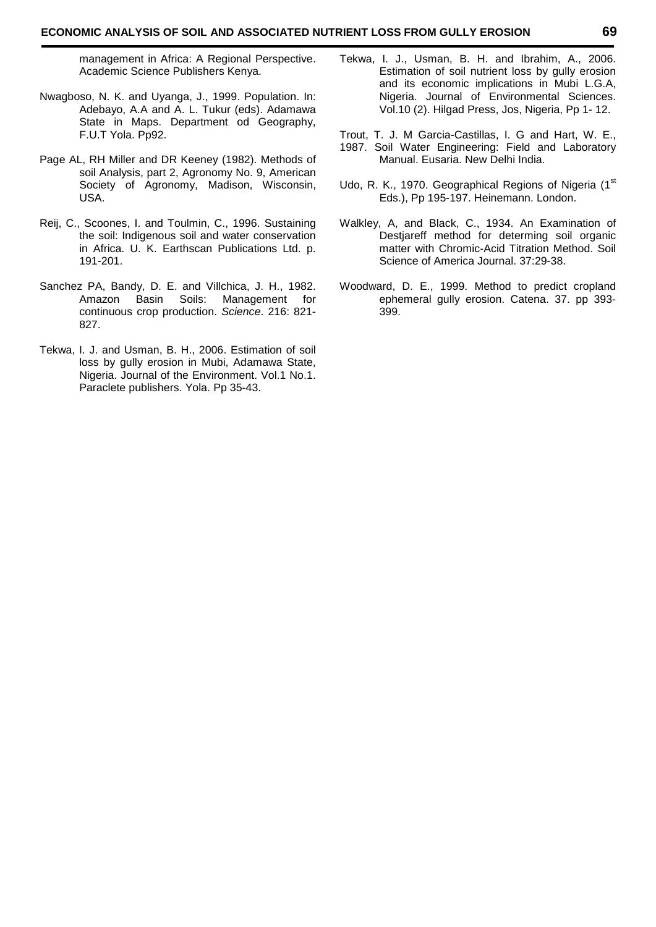management in Africa: A Regional Perspective. Academic Science Publishers Kenya.

- Nwagboso, N. K. and Uyanga, J., 1999. Population. In: Adebayo, A.A and A. L. Tukur (eds). Adamawa State in Maps. Department od Geography, F.U.T Yola. Pp92.
- Page AL, RH Miller and DR Keeney (1982). Methods of soil Analysis, part 2, Agronomy No. 9, American Society of Agronomy, Madison, Wisconsin, USA.
- Reij, C., Scoones, I. and Toulmin, C., 1996. Sustaining the soil: Indigenous soil and water conservation in Africa. U. K. Earthscan Publications Ltd. p. 191-201.
- Sanchez PA, Bandy, D. E. and Villchica, J. H., 1982. Amazon Basin Soils: Management for continuous crop production. *Science*. 216: 821- 827.
- Tekwa, I. J. and Usman, B. H., 2006. Estimation of soil loss by gully erosion in Mubi, Adamawa State, Nigeria. Journal of the Environment. Vol.1 No.1. Paraclete publishers. Yola. Pp 35-43.
- Tekwa, I. J., Usman, B. H. and Ibrahim, A., 2006. Estimation of soil nutrient loss by gully erosion and its economic implications in Mubi L.G.A, Nigeria. Journal of Environmental Sciences. Vol.10 (2). Hilgad Press, Jos, Nigeria, Pp 1- 12.
- Trout, T. J. M Garcia-Castillas, I. G and Hart, W. E., 1987. Soil Water Engineering: Field and Laboratory Manual. Eusaria. New Delhi India.
- Udo, R. K., 1970. Geographical Regions of Nigeria (1st Eds.), Pp 195-197. Heinemann. London.
- Walkley, A, and Black, C., 1934. An Examination of Destjareff method for determing soil organic matter with Chromic-Acid Titration Method. Soil Science of America Journal. 37:29-38.
- Woodward, D. E., 1999. Method to predict cropland ephemeral gully erosion. Catena. 37. pp 393- 399.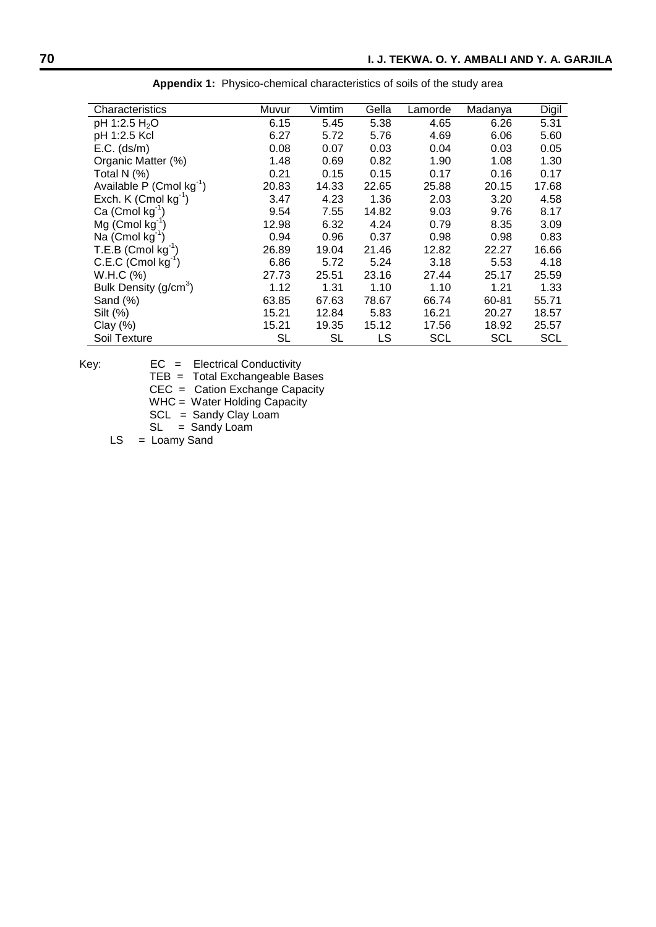| Characteristics                      | Muvur     | Vimtim    | Gella | Lamorde    | Madanya    | Digil      |
|--------------------------------------|-----------|-----------|-------|------------|------------|------------|
| pH 1:2.5 H <sub>2</sub> O            | 6.15      | 5.45      | 5.38  | 4.65       | 6.26       | 5.31       |
| pH 1:2.5 Kcl                         | 6.27      | 5.72      | 5.76  | 4.69       | 6.06       | 5.60       |
| $E.C.$ (ds/m)                        | 0.08      | 0.07      | 0.03  | 0.04       | 0.03       | 0.05       |
| Organic Matter (%)                   | 1.48      | 0.69      | 0.82  | 1.90       | 1.08       | 1.30       |
| Total N (%)                          | 0.21      | 0.15      | 0.15  | 0.17       | 0.16       | 0.17       |
| Available P (Cmol kg <sup>-1</sup> ) | 20.83     | 14.33     | 22.65 | 25.88      | 20.15      | 17.68      |
| Exch. K $($ Cmol kg $^{-1}$ )        | 3.47      | 4.23      | 1.36  | 2.03       | 3.20       | 4.58       |
| Ca (Cmol $kg^{-1}$ )                 | 9.54      | 7.55      | 14.82 | 9.03       | 9.76       | 8.17       |
| $Mg$ (Cmol kg <sup>-1</sup> )        | 12.98     | 6.32      | 4.24  | 0.79       | 8.35       | 3.09       |
| Na (Cmol $kg^{-1}$ )                 | 0.94      | 0.96      | 0.37  | 0.98       | 0.98       | 0.83       |
| $T.E.B$ (Cmol kg <sup>-1</sup> )     | 26.89     | 19.04     | 21.46 | 12.82      | 22.27      | 16.66      |
| $C.E.C$ (Cmol kg <sup>-1</sup> )     | 6.86      | 5.72      | 5.24  | 3.18       | 5.53       | 4.18       |
| W.H.C (%)                            | 27.73     | 25.51     | 23.16 | 27.44      | 25.17      | 25.59      |
| Bulk Density (g/cm <sup>3</sup> )    | 1.12      | 1.31      | 1.10  | 1.10       | 1.21       | 1.33       |
| Sand (%)                             | 63.85     | 67.63     | 78.67 | 66.74      | 60-81      | 55.71      |
| Silt (%)                             | 15.21     | 12.84     | 5.83  | 16.21      | 20.27      | 18.57      |
| Clay $(\%)$                          | 15.21     | 19.35     | 15.12 | 17.56      | 18.92      | 25.57      |
| Soil Texture                         | <b>SL</b> | <b>SL</b> | LS    | <b>SCL</b> | <b>SCL</b> | <b>SCL</b> |

**Appendix 1:** Physico-chemical characteristics of soils of the study area

Key: EC = Electrical Conductivity

TEB = Total Exchangeable Bases

CEC = Cation Exchange Capacity

WHC = Water Holding Capacity

SCL = Sandy Clay Loam

SL = Sandy Loam

 $LS = Loamy$  Sand